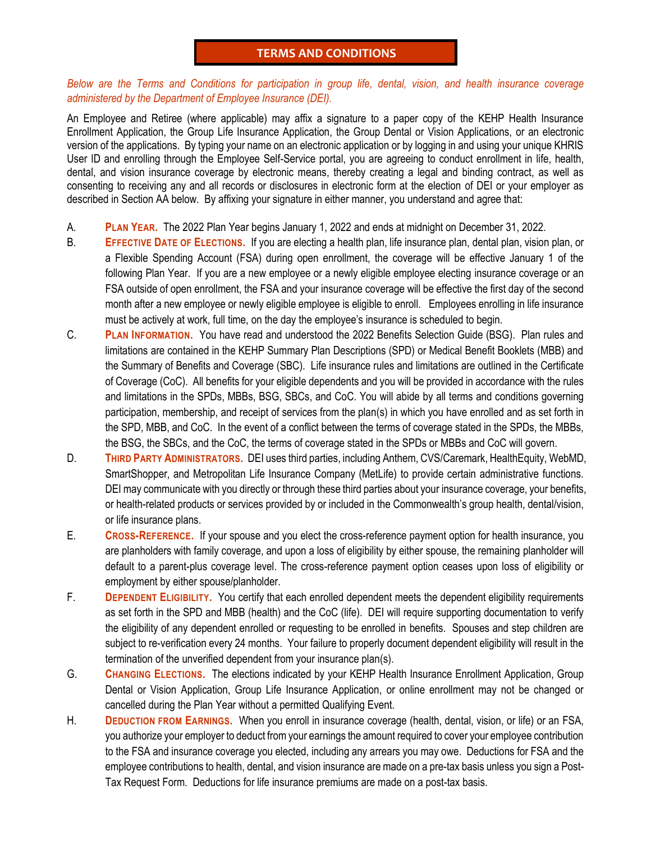## **TERMS AND CONDITIONS**

## *Below are the Terms and Conditions for participation in group life, dental, vision, and health insurance coverage administered by the Department of Employee Insurance (DEI).*

An Employee and Retiree (where applicable) may affix a signature to a paper copy of the KEHP Health Insurance Enrollment Application, the Group Life Insurance Application, the Group Dental or Vision Applications, or an electronic version of the applications. By typing your name on an electronic application or by logging in and using your unique KHRIS User ID and enrolling through the Employee Self-Service portal, you are agreeing to conduct enrollment in life, health, dental, and vision insurance coverage by electronic means, thereby creating a legal and binding contract, as well as consenting to receiving any and all records or disclosures in electronic form at the election of DEI or your employer as described in Section AA below. By affixing your signature in either manner, you understand and agree that:

- A. **PLAN YEAR.** The 2022 Plan Year begins January 1, 2022 and ends at midnight on December 31, 2022.
- B. **EFFECTIVE DATE OF ELECTIONS.** If you are electing a health plan, life insurance plan, dental plan, vision plan, or a Flexible Spending Account (FSA) during open enrollment, the coverage will be effective January 1 of the following Plan Year. If you are a new employee or a newly eligible employee electing insurance coverage or an FSA outside of open enrollment, the FSA and your insurance coverage will be effective the first day of the second month after a new employee or newly eligible employee is eligible to enroll. Employees enrolling in life insurance must be actively at work, full time, on the day the employee's insurance is scheduled to begin.
- C. **PLAN INFORMATION.** You have read and understood the 2022 Benefits Selection Guide (BSG). Plan rules and limitations are contained in the KEHP Summary Plan Descriptions (SPD) or Medical Benefit Booklets (MBB) and the Summary of Benefits and Coverage (SBC). Life insurance rules and limitations are outlined in the Certificate of Coverage (CoC). All benefits for your eligible dependents and you will be provided in accordance with the rules and limitations in the SPDs, MBBs, BSG, SBCs, and CoC. You will abide by all terms and conditions governing participation, membership, and receipt of services from the plan(s) in which you have enrolled and as set forth in the SPD, MBB, and CoC. In the event of a conflict between the terms of coverage stated in the SPDs, the MBBs, the BSG, the SBCs, and the CoC, the terms of coverage stated in the SPDs or MBBs and CoC will govern.
- D. **THIRD PARTY ADMINISTRATORS.** DEI uses third parties, including Anthem, CVS/Caremark, HealthEquity, WebMD, SmartShopper, and Metropolitan Life Insurance Company (MetLife) to provide certain administrative functions. DEI may communicate with you directly or through these third parties about your insurance coverage, your benefits, or health-related products or services provided by or included in the Commonwealth's group health, dental/vision, or life insurance plans.
- E. **CROSS-REFERENCE.** If your spouse and you elect the cross-reference payment option for health insurance, you are planholders with family coverage, and upon a loss of eligibility by either spouse, the remaining planholder will default to a parent-plus coverage level. The cross-reference payment option ceases upon loss of eligibility or employment by either spouse/planholder.
- F. **DEPENDENT ELIGIBILITY.** You certify that each enrolled dependent meets the dependent eligibility requirements as set forth in the SPD and MBB (health) and the CoC (life). DEI will require supporting documentation to verify the eligibility of any dependent enrolled or requesting to be enrolled in benefits. Spouses and step children are subject to re-verification every 24 months. Your failure to properly document dependent eligibility will result in the termination of the unverified dependent from your insurance plan(s).
- G. **CHANGING ELECTIONS.** The elections indicated by your KEHP Health Insurance Enrollment Application, Group Dental or Vision Application, Group Life Insurance Application, or online enrollment may not be changed or cancelled during the Plan Year without a permitted Qualifying Event.
- H. **DEDUCTION FROM EARNINGS.** When you enroll in insurance coverage (health, dental, vision, or life) or an FSA, you authorize your employer to deduct from your earnings the amount required to cover your employee contribution to the FSA and insurance coverage you elected, including any arrears you may owe. Deductions for FSA and the employee contributions to health, dental, and vision insurance are made on a pre-tax basis unless you sign a Post-Tax Request Form. Deductions for life insurance premiums are made on a post-tax basis.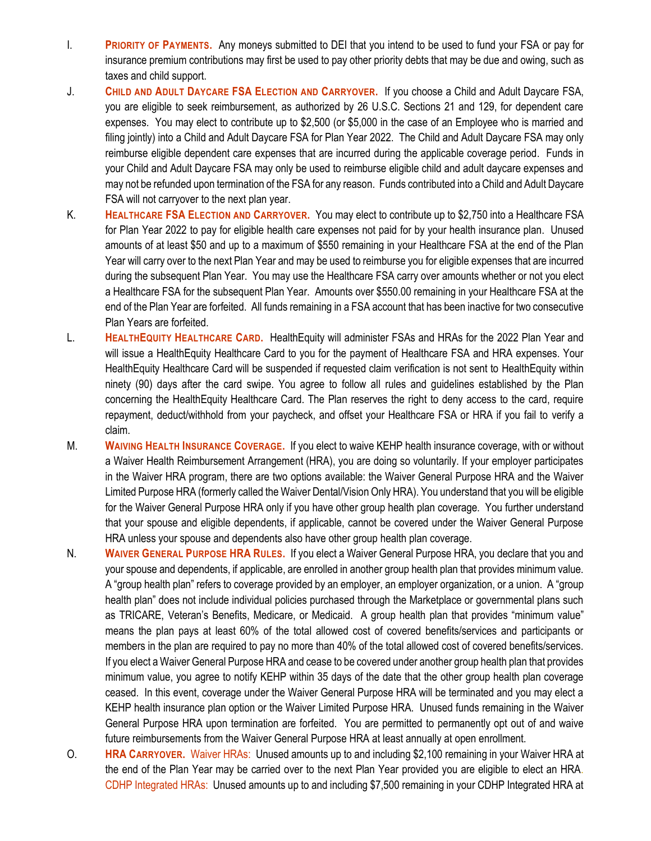- I. **PRIORITY OF PAYMENTS.** Any moneys submitted to DEI that you intend to be used to fund your FSA or pay for insurance premium contributions may first be used to pay other priority debts that may be due and owing, such as taxes and child support.
- J. **CHILD AND ADULT DAYCARE FSA ELECTION AND CARRYOVER.** If you choose a Child and Adult Daycare FSA, you are eligible to seek reimbursement, as authorized by 26 U.S.C. Sections 21 and 129, for dependent care expenses. You may elect to contribute up to \$2,500 (or \$5,000 in the case of an Employee who is married and filing jointly) into a Child and Adult Daycare FSA for Plan Year 2022. The Child and Adult Daycare FSA may only reimburse eligible dependent care expenses that are incurred during the applicable coverage period. Funds in your Child and Adult Daycare FSA may only be used to reimburse eligible child and adult daycare expenses and may not be refunded upon termination of the FSA for any reason. Funds contributed into a Child and Adult Daycare FSA will not carryover to the next plan year.
- K. **HEALTHCARE FSA ELECTION AND CARRYOVER.** You may elect to contribute up to \$2,750 into a Healthcare FSA for Plan Year 2022 to pay for eligible health care expenses not paid for by your health insurance plan. Unused amounts of at least \$50 and up to a maximum of \$550 remaining in your Healthcare FSA at the end of the Plan Year will carry over to the next Plan Year and may be used to reimburse you for eligible expenses that are incurred during the subsequent Plan Year. You may use the Healthcare FSA carry over amounts whether or not you elect a Healthcare FSA for the subsequent Plan Year. Amounts over \$550.00 remaining in your Healthcare FSA at the end of the Plan Year are forfeited. All funds remaining in a FSA account that has been inactive for two consecutive Plan Years are forfeited.
- L. **HEALTHEQUITY HEALTHCARE CARD.** HealthEquity will administer FSAs and HRAs for the 2022 Plan Year and will issue a HealthEquity Healthcare Card to you for the payment of Healthcare FSA and HRA expenses. Your HealthEquity Healthcare Card will be suspended if requested claim verification is not sent to HealthEquity within ninety (90) days after the card swipe. You agree to follow all rules and guidelines established by the Plan concerning the HealthEquity Healthcare Card. The Plan reserves the right to deny access to the card, require repayment, deduct/withhold from your paycheck, and offset your Healthcare FSA or HRA if you fail to verify a claim.
- M. **WAIVING HEALTH INSURANCE COVERAGE.** If you elect to waive KEHP health insurance coverage, with or without a Waiver Health Reimbursement Arrangement (HRA), you are doing so voluntarily. If your employer participates in the Waiver HRA program, there are two options available: the Waiver General Purpose HRA and the Waiver Limited Purpose HRA (formerly called the Waiver Dental/Vision Only HRA). You understand that you will be eligible for the Waiver General Purpose HRA only if you have other group health plan coverage. You further understand that your spouse and eligible dependents, if applicable, cannot be covered under the Waiver General Purpose HRA unless your spouse and dependents also have other group health plan coverage.
- N. **WAIVER GENERAL PURPOSE HRA RULES.** If you elect a Waiver General Purpose HRA, you declare that you and your spouse and dependents, if applicable, are enrolled in another group health plan that provides minimum value. A "group health plan" refers to coverage provided by an employer, an employer organization, or a union. A "group health plan" does not include individual policies purchased through the Marketplace or governmental plans such as TRICARE, Veteran's Benefits, Medicare, or Medicaid. A group health plan that provides "minimum value" means the plan pays at least 60% of the total allowed cost of covered benefits/services and participants or members in the plan are required to pay no more than 40% of the total allowed cost of covered benefits/services. If you elect a Waiver General Purpose HRA and cease to be covered under another group health plan that provides minimum value, you agree to notify KEHP within 35 days of the date that the other group health plan coverage ceased. In this event, coverage under the Waiver General Purpose HRA will be terminated and you may elect a KEHP health insurance plan option or the Waiver Limited Purpose HRA. Unused funds remaining in the Waiver General Purpose HRA upon termination are forfeited. You are permitted to permanently opt out of and waive future reimbursements from the Waiver General Purpose HRA at least annually at open enrollment.
- O. **HRA CARRYOVER.** Waiver HRAs: Unused amounts up to and including \$2,100 remaining in your Waiver HRA at the end of the Plan Year may be carried over to the next Plan Year provided you are eligible to elect an HRA. CDHP Integrated HRAs: Unused amounts up to and including \$7,500 remaining in your CDHP Integrated HRA at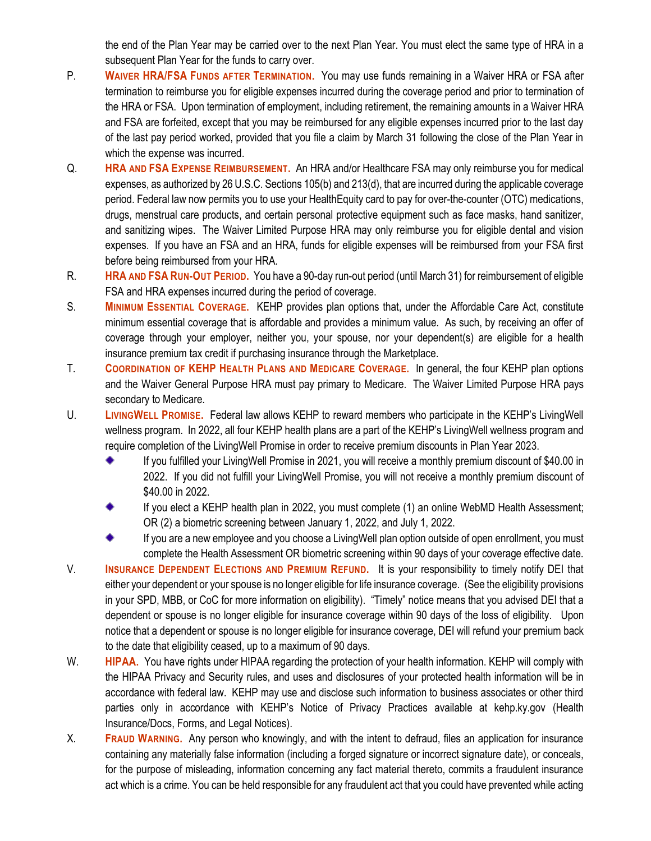the end of the Plan Year may be carried over to the next Plan Year. You must elect the same type of HRA in a subsequent Plan Year for the funds to carry over.

- P. WAIVER HRA/FSA FUNDS AFTER TERMINATION. You may use funds remaining in a Waiver HRA or FSA after termination to reimburse you for eligible expenses incurred during the coverage period and prior to termination of the HRA or FSA. Upon termination of employment, including retirement, the remaining amounts in a Waiver HRA and FSA are forfeited, except that you may be reimbursed for any eligible expenses incurred prior to the last day of the last pay period worked, provided that you file a claim by March 31 following the close of the Plan Year in which the expense was incurred.
- Q. **HRA AND FSA EXPENSE REIMBURSEMENT.** An HRA and/or Healthcare FSA may only reimburse you for medical expenses, as authorized by 26 U.S.C. Sections 105(b) and 213(d), that are incurred during the applicable coverage period. Federal law now permits you to use your HealthEquity card to pay for over-the-counter (OTC) medications, drugs, menstrual care products, and certain personal protective equipment such as face masks, hand sanitizer, and sanitizing wipes. The Waiver Limited Purpose HRA may only reimburse you for eligible dental and vision expenses. If you have an FSA and an HRA, funds for eligible expenses will be reimbursed from your FSA first before being reimbursed from your HRA.
- R. **HRA AND FSA RUN-OUT PERIOD.** You have a 90-day run-out period (until March 31) for reimbursement of eligible FSA and HRA expenses incurred during the period of coverage.
- S. **MINIMUM ESSENTIAL COVERAGE.** KEHP provides plan options that, under the Affordable Care Act, constitute minimum essential coverage that is affordable and provides a minimum value. As such, by receiving an offer of coverage through your employer, neither you, your spouse, nor your dependent(s) are eligible for a health insurance premium tax credit if purchasing insurance through the Marketplace.
- T. **COORDINATION OF KEHP HEALTH PLANS AND MEDICARE COVERAGE.** In general, the four KEHP plan options and the Waiver General Purpose HRA must pay primary to Medicare. The Waiver Limited Purpose HRA pays secondary to Medicare.
- U. **LIVINGWELL PROMISE.** Federal law allows KEHP to reward members who participate in the KEHP's LivingWell wellness program. In 2022, all four KEHP health plans are a part of the KEHP's LivingWell wellness program and require completion of the LivingWell Promise in order to receive premium discounts in Plan Year 2023.
	- If you fulfilled your LivingWell Promise in 2021, you will receive a monthly premium discount of \$40.00 in 2022. If you did not fulfill your LivingWell Promise, you will not receive a monthly premium discount of \$40.00 in 2022.
	- If you elect a KEHP health plan in 2022, you must complete (1) an online WebMD Health Assessment; OR (2) a biometric screening between January 1, 2022, and July 1, 2022.
	- ٠ If you are a new employee and you choose a LivingWell plan option outside of open enrollment, you must complete the Health Assessment OR biometric screening within 90 days of your coverage effective date.
- V. **INSURANCE DEPENDENT ELECTIONS AND PREMIUM REFUND.** It is your responsibility to timely notify DEI that either your dependent or your spouse is no longer eligible for life insurance coverage. (See the eligibility provisions in your SPD, MBB, or CoC for more information on eligibility). "Timely" notice means that you advised DEI that a dependent or spouse is no longer eligible for insurance coverage within 90 days of the loss of eligibility. Upon notice that a dependent or spouse is no longer eligible for insurance coverage, DEI will refund your premium back to the date that eligibility ceased, up to a maximum of 90 days.
- W. **HIPAA.** You have rights under HIPAA regarding the protection of your health information. KEHP will comply with the HIPAA Privacy and Security rules, and uses and disclosures of your protected health information will be in accordance with federal law. KEHP may use and disclose such information to business associates or other third parties only in accordance with KEHP's Notice of Privacy Practices available at kehp.ky.gov (Health Insurance/Docs, Forms, and Legal Notices).
- X. **FRAUD WARNING.** Any person who knowingly, and with the intent to defraud, files an application for insurance containing any materially false information (including a forged signature or incorrect signature date), or conceals, for the purpose of misleading, information concerning any fact material thereto, commits a fraudulent insurance act which is a crime. You can be held responsible for any fraudulent act that you could have prevented while acting